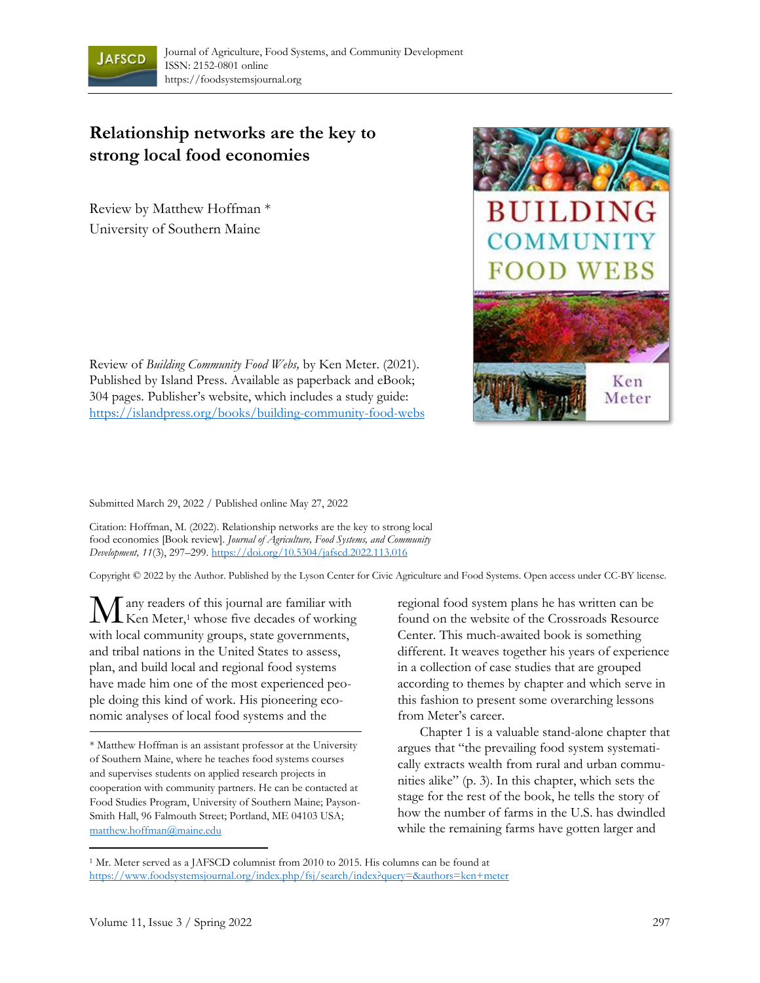

## **Relationship networks are the key to strong local food economies**

Review by Matthew Hoffman \* University of Southern Maine



Review of *Building Community Food Webs,* by Ken Meter. (2021). Published by Island Press. Available as paperback and eBook; 304 pages. Publisher's website, which includes a study guide: <https://islandpress.org/books/building-community-food-webs>

Submitted March 29, 2022 / Published online May 27, 2022

Citation: Hoffman, M. (2022). Relationship networks are the key to strong local food economies [Book review]. *Journal of Agriculture, Food Systems, and Community Development, 11*(3), 297–299[. https://doi.org/10.5304/jafscd.2022.113.016](https://doi.org/10.5304/jafscd.2022.113.016)

Copyright © 2022 by the Author. Published by the Lyson Center for Civic Agriculture and Food Systems. Open access under CC-BY license.

any readers of this journal are familiar with  $\mathbf{M}$  any readers of this journal are familiar with Ken Meter,<sup>1</sup> whose five decades of working with local community groups, state governments, and tribal nations in the United States to assess, plan, and build local and regional food systems have made him one of the most experienced people doing this kind of work. His pioneering economic analyses of local food systems and the

regional food system plans he has written can be found on the website of the Crossroads Resource Center. This much-awaited book is something different. It weaves together his years of experience in a collection of case studies that are grouped according to themes by chapter and which serve in this fashion to present some overarching lessons from Meter's career.

Chapter 1 is a valuable stand-alone chapter that argues that "the prevailing food system systematically extracts wealth from rural and urban communities alike" (p. 3). In this chapter, which sets the stage for the rest of the book, he tells the story of how the number of farms in the U.S. has dwindled while the remaining farms have gotten larger and

<sup>\*</sup> Matthew Hoffman is an assistant professor at the University of Southern Maine, where he teaches food systems courses and supervises students on applied research projects in cooperation with community partners. He can be contacted at Food Studies Program, University of Southern Maine; Payson-Smith Hall, 96 Falmouth Street; Portland, ME 04103 USA; [matthew.hoffman@maine.edu](mailto:matthew.hoffman@maine.edu)

<sup>1</sup> Mr. Meter served as a JAFSCD columnist from 2010 to 2015. His columns can be found at <https://www.foodsystemsjournal.org/index.php/fsj/search/index?query=&authors=ken+meter>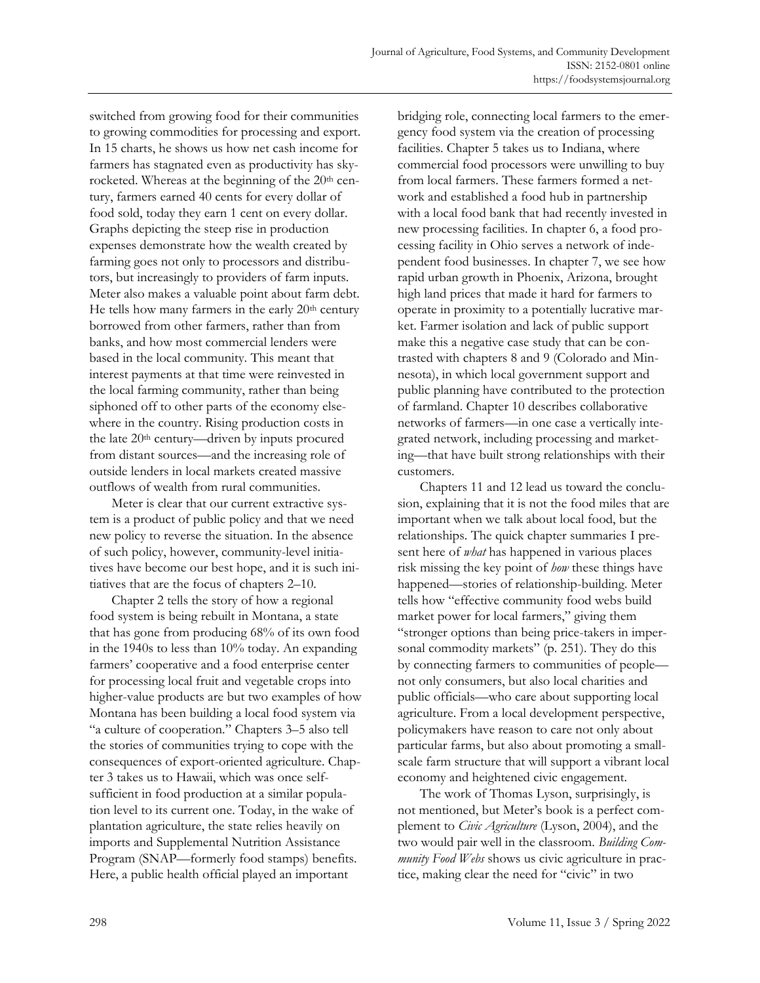switched from growing food for their communities to growing commodities for processing and export. In 15 charts, he shows us how net cash income for farmers has stagnated even as productivity has skyrocketed. Whereas at the beginning of the 20<sup>th</sup> century, farmers earned 40 cents for every dollar of food sold, today they earn 1 cent on every dollar. Graphs depicting the steep rise in production expenses demonstrate how the wealth created by farming goes not only to processors and distributors, but increasingly to providers of farm inputs. Meter also makes a valuable point about farm debt. He tells how many farmers in the early 20<sup>th</sup> century borrowed from other farmers, rather than from banks, and how most commercial lenders were based in the local community. This meant that interest payments at that time were reinvested in the local farming community, rather than being siphoned off to other parts of the economy elsewhere in the country. Rising production costs in the late 20<sup>th</sup> century—driven by inputs procured from distant sources—and the increasing role of outside lenders in local markets created massive outflows of wealth from rural communities.

Meter is clear that our current extractive system is a product of public policy and that we need new policy to reverse the situation. In the absence of such policy, however, community-level initiatives have become our best hope, and it is such initiatives that are the focus of chapters 2–10.

Chapter 2 tells the story of how a regional food system is being rebuilt in Montana, a state that has gone from producing 68% of its own food in the 1940s to less than 10% today. An expanding farmers' cooperative and a food enterprise center for processing local fruit and vegetable crops into higher-value products are but two examples of how Montana has been building a local food system via "a culture of cooperation." Chapters 3–5 also tell the stories of communities trying to cope with the consequences of export-oriented agriculture. Chapter 3 takes us to Hawaii, which was once selfsufficient in food production at a similar population level to its current one. Today, in the wake of plantation agriculture, the state relies heavily on imports and Supplemental Nutrition Assistance Program (SNAP—formerly food stamps) benefits. Here, a public health official played an important

bridging role, connecting local farmers to the emergency food system via the creation of processing facilities. Chapter 5 takes us to Indiana, where commercial food processors were unwilling to buy from local farmers. These farmers formed a network and established a food hub in partnership with a local food bank that had recently invested in new processing facilities. In chapter 6, a food processing facility in Ohio serves a network of independent food businesses. In chapter 7, we see how rapid urban growth in Phoenix, Arizona, brought high land prices that made it hard for farmers to operate in proximity to a potentially lucrative market. Farmer isolation and lack of public support make this a negative case study that can be contrasted with chapters 8 and 9 (Colorado and Minnesota), in which local government support and public planning have contributed to the protection of farmland. Chapter 10 describes collaborative networks of farmers—in one case a vertically integrated network, including processing and marketing—that have built strong relationships with their customers.

Chapters 11 and 12 lead us toward the conclusion, explaining that it is not the food miles that are important when we talk about local food, but the relationships. The quick chapter summaries I present here of *what* has happened in various places risk missing the key point of *how* these things have happened—stories of relationship-building. Meter tells how "effective community food webs build market power for local farmers," giving them "stronger options than being price-takers in impersonal commodity markets" (p. 251). They do this by connecting farmers to communities of people not only consumers, but also local charities and public officials—who care about supporting local agriculture. From a local development perspective, policymakers have reason to care not only about particular farms, but also about promoting a smallscale farm structure that will support a vibrant local economy and heightened civic engagement.

The work of Thomas Lyson, surprisingly, is not mentioned, but Meter's book is a perfect complement to *Civic Agriculture* (Lyson, 2004), and the two would pair well in the classroom. *Building Community Food Webs* shows us civic agriculture in practice, making clear the need for "civic" in two